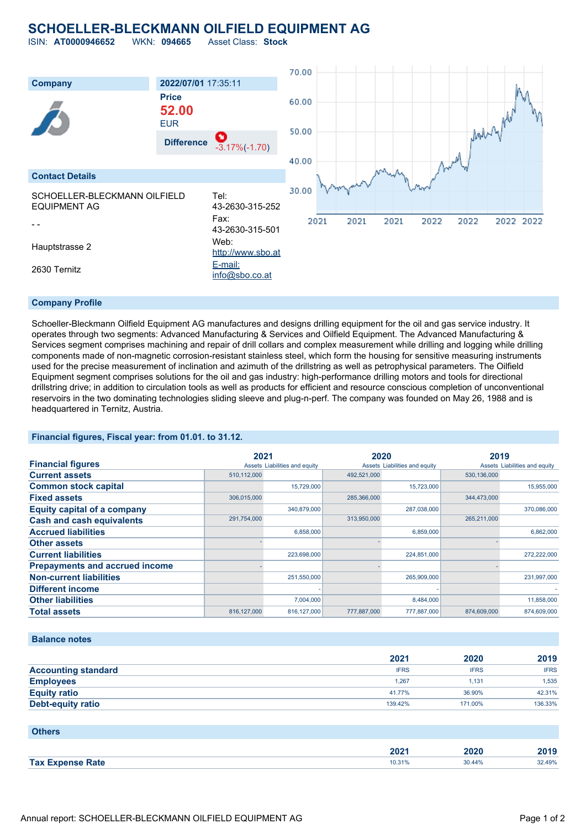#### **SCHOELLER-BLECKMANN OILFIELD EQUIPMENT AG** ISIN: **AT0000946652** WKN: **094665** Asset Class: **Stock**

70.00 **Company 2022/07/01** 17:35:11 **Price** 60.00 Mark 2 prov **52.00** EUR 50.00 **Difference** -3.17%(-1.70) 40.00 **Contact Details** 30.00 SCHOELLER-BLECKMANN OILFIELD Tel: EQUIPMENT AG 43-2630-315-252 Fax: 2021 2021 2021 2022 2022 2022 2022 - - 43-2630-315-501 Hauptstrasse 2 Web: [http://www.sbo.at](http://www.sbo.at/) 2630 Ternitz [E-mail:](mailto:info@sbo.co.at) [info@sbo.co.at](mailto:info@sbo.co.at)

#### **Company Profile**

Schoeller-Bleckmann Oilfield Equipment AG manufactures and designs drilling equipment for the oil and gas service industry. It operates through two segments: Advanced Manufacturing & Services and Oilfield Equipment. The Advanced Manufacturing & Services segment comprises machining and repair of drill collars and complex measurement while drilling and logging while drilling components made of non-magnetic corrosion-resistant stainless steel, which form the housing for sensitive measuring instruments used for the precise measurement of inclination and azimuth of the drillstring as well as petrophysical parameters. The Oilfield Equipment segment comprises solutions for the oil and gas industry: high-performance drilling motors and tools for directional drillstring drive; in addition to circulation tools as well as products for efficient and resource conscious completion of unconventional reservoirs in the two dominating technologies sliding sleeve and plug-n-perf. The company was founded on May 26, 1988 and is headquartered in Ternitz, Austria.

#### **Financial figures, Fiscal year: from 01.01. to 31.12.**

|                                       | 2021          |                               | 2020        |                               | 2019        |                               |
|---------------------------------------|---------------|-------------------------------|-------------|-------------------------------|-------------|-------------------------------|
| <b>Financial figures</b>              |               | Assets Liabilities and equity |             | Assets Liabilities and equity |             | Assets Liabilities and equity |
| <b>Current assets</b>                 | 510,112,000   |                               | 492,521,000 |                               | 530,136,000 |                               |
| <b>Common stock capital</b>           |               | 15.729.000                    |             | 15.723.000                    |             | 15.955.000                    |
| <b>Fixed assets</b>                   | 306,015,000   |                               | 285,366,000 |                               | 344.473.000 |                               |
| <b>Equity capital of a company</b>    |               | 340,879,000                   |             | 287,038,000                   |             | 370,086,000                   |
| <b>Cash and cash equivalents</b>      | 291,754,000   |                               | 313,950,000 |                               | 265,211,000 |                               |
| <b>Accrued liabilities</b>            |               | 6,858,000                     |             | 6,859,000                     |             | 6.862.000                     |
| <b>Other assets</b>                   |               |                               |             |                               |             |                               |
| <b>Current liabilities</b>            |               | 223,698,000                   |             | 224,851,000                   |             | 272,222,000                   |
| <b>Prepayments and accrued income</b> |               |                               |             |                               |             |                               |
| <b>Non-current liabilities</b>        |               | 251,550,000                   |             | 265,909,000                   |             | 231,997,000                   |
| <b>Different income</b>               |               |                               |             |                               |             |                               |
| <b>Other liabilities</b>              |               | 7,004,000                     |             | 8,484,000                     |             | 11,858,000                    |
| <b>Total assets</b>                   | 816, 127, 000 | 816, 127, 000                 | 777,887,000 | 777,887,000                   | 874,609,000 | 874.609.000                   |

#### **Balance notes**

|                            | 2021        | 2020        | 2019        |
|----------------------------|-------------|-------------|-------------|
| <b>Accounting standard</b> | <b>IFRS</b> | <b>IFRS</b> | <b>IFRS</b> |
| <b>Employees</b>           | 1.267       | 1.131       | 1.535       |
| <b>Equity ratio</b>        | 41.77%      | 36.90%      | 42.31%      |
| Debt-equity ratio          | 139.42%     | 171.00%     | 136.33%     |

#### **Others**

|                         | יממ<br>AUZ F | 2020   | 20 I J |
|-------------------------|--------------|--------|--------|
| <b>Tax Expense Rate</b> | 10.31%       | 30 44% | 32.49% |